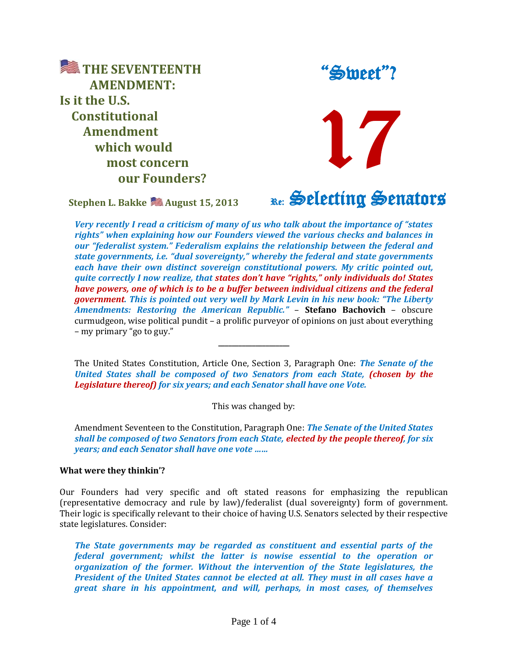**EXTHE SEVENTEENTH AMENDMENT: Is it the U.S. Constitutional Amendment which would most concern our Founders?**

**Stephen L. Bakke August 15, 2013**

"Sweet"?

Re: Selecting Senators

17

*Very recently I read a criticism of many of us who talk about the importance of "states rights" when explaining how our Founders viewed the various checks and balances in our "federalist system." Federalism explains the relationship between the federal and state governments, i.e. "dual sovereignty," whereby the federal and state governments each have their own distinct sovereign constitutional powers. My critic pointed out, quite correctly I now realize, that states don't have "rights," only individuals do! States have powers, one of which is to be a buffer between individual citizens and the federal government. This is pointed out very well by Mark Levin in his new book: "The Liberty Amendments: Restoring the American Republic."* – **Stefano Bachovich** – obscure curmudgeon, wise political pundit – a prolific purveyor of opinions on just about everything – my primary "go to guy."

The United States Constitution, Article One, Section 3, Paragraph One: *The Senate of the United States shall be composed of two Senators from each State, (chosen by the Legislature thereof) for six years; and each Senator shall have one Vote.*

**\_\_\_\_\_\_\_\_\_\_\_\_\_\_\_\_\_\_\_\_\_**

This was changed by:

Amendment Seventeen to the Constitution, Paragraph One: *The Senate of the United States shall be composed of two Senators from each State, elected by the people thereof, for six years; and each Senator shall have one vote ……*

## **What were they thinkin'?**

Our Founders had very specific and oft stated reasons for emphasizing the republican (representative democracy and rule by law)/federalist (dual sovereignty) form of government. Their logic is specifically relevant to their choice of having U.S. Senators selected by their respective state legislatures. Consider:

*The State governments may be regarded as constituent and essential parts of the federal government; whilst the latter is nowise essential to the operation or organization of the former. Without the intervention of the State legislatures, the President of the United States cannot be elected at all. They must in all cases have a great share in his appointment, and will, perhaps, in most cases, of themselves*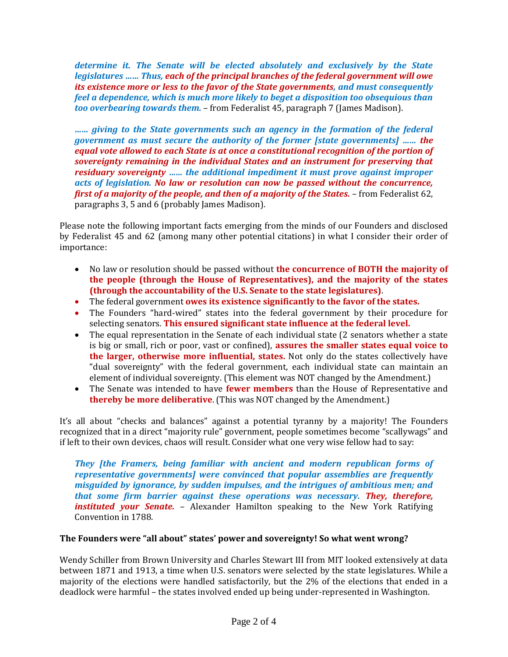*determine it. The Senate will be elected absolutely and exclusively by the State legislatures …… Thus, each of the principal branches of the federal government will owe its existence more or less to the favor of the State governments, and must consequently feel a dependence, which is much more likely to beget a disposition too obsequious than too overbearing towards them.* – from Federalist 45, paragraph 7 (James Madison).

*…… giving to the State governments such an agency in the formation of the federal government as must secure the authority of the former [state governments] …… the equal vote allowed to each State is at once a constitutional recognition of the portion of sovereignty remaining in the individual States and an instrument for preserving that residuary sovereignty …… the additional impediment it must prove against improper acts of legislation. No law or resolution can now be passed without the concurrence, first of a majority of the people, and then of a majority of the States.* – from Federalist 62, paragraphs 3, 5 and 6 (probably James Madison).

Please note the following important facts emerging from the minds of our Founders and disclosed by Federalist 45 and 62 (among many other potential citations) in what I consider their order of importance:

- No law or resolution should be passed without **the concurrence of BOTH the majority of the people (through the House of Representatives), and the majority of the states (through the accountability of the U.S. Senate to the state legislatures)**.
- The federal government **owes its existence significantly to the favor of the states.**
- The Founders "hard-wired" states into the federal government by their procedure for selecting senators. **This ensured significant state influence at the federal level.**
- The equal representation in the Senate of each individual state (2 senators whether a state is big or small, rich or poor, vast or confined), **assures the smaller states equal voice to the larger, otherwise more influential, states.** Not only do the states collectively have "dual sovereignty" with the federal government, each individual state can maintain an element of individual sovereignty. (This element was NOT changed by the Amendment.)
- The Senate was intended to have **fewer members** than the House of Representative and **thereby be more deliberative**. (This was NOT changed by the Amendment.)

It's all about "checks and balances" against a potential tyranny by a majority! The Founders recognized that in a direct "majority rule" government, people sometimes become "scallywags" and if left to their own devices, chaos will result. Consider what one very wise fellow had to say:

*They [the Framers, being familiar with ancient and modern republican forms of representative governments] were convinced that popular assemblies are frequently misguided by ignorance, by sudden impulses, and the intrigues of ambitious men; and that some firm barrier against these operations was necessary. They, therefore, instituted your Senate.* – Alexander Hamilton speaking to the New York Ratifying Convention in 1788.

## **The Founders were "all about" states' power and sovereignty! So what went wrong?**

Wendy Schiller from Brown University and Charles Stewart III from MIT looked extensively at data between 1871 and 1913, a time when U.S. senators were selected by the state legislatures. While a majority of the elections were handled satisfactorily, but the 2% of the elections that ended in a deadlock were harmful – the states involved ended up being under-represented in Washington.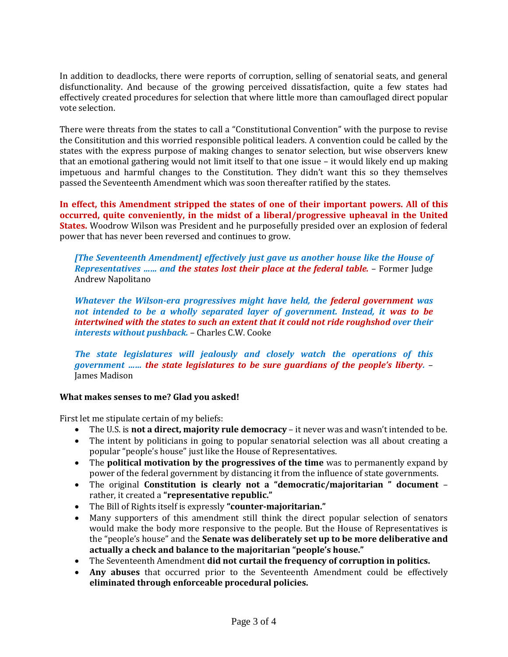In addition to deadlocks, there were reports of corruption, selling of senatorial seats, and general disfunctionality. And because of the growing perceived dissatisfaction, quite a few states had effectively created procedures for selection that where little more than camouflaged direct popular vote selection.

There were threats from the states to call a "Constitutional Convention" with the purpose to revise the Consititution and this worried responsible political leaders. A convention could be called by the states with the express purpose of making changes to senator selection, but wise observers knew that an emotional gathering would not limit itself to that one issue – it would likely end up making impetuous and harmful changes to the Constitution. They didn't want this so they themselves passed the Seventeenth Amendment which was soon thereafter ratified by the states.

**In effect, this Amendment stripped the states of one of their important powers. All of this occurred, quite conveniently, in the midst of a liberal/progressive upheaval in the United States.** Woodrow Wilson was President and he purposefully presided over an explosion of federal power that has never been reversed and continues to grow.

*[The Seventeenth Amendment] effectively just gave us another house like the House of Representatives …… and the states lost their place at the federal table.* – Former Judge Andrew Napolitano

*Whatever the Wilson-era progressives might have held, the federal government was not intended to be a wholly separated layer of government. Instead, it was to be intertwined with the states to such an extent that it could not ride roughshod over their interests without pushback.* – Charles C.W. Cooke

*The state legislatures will jealously and closely watch the operations of this government …… the state legislatures to be sure guardians of the people's liberty.* – James Madison

## **What makes senses to me? Glad you asked!**

First let me stipulate certain of my beliefs:

- The U.S. is **not a direct, majority rule democracy** it never was and wasn't intended to be.
- The intent by politicians in going to popular senatorial selection was all about creating a popular "people's house" just like the House of Representatives.
- The **political motivation by the progressives of the time** was to permanently expand by power of the federal government by distancing it from the influence of state governments.
- The original **Constitution is clearly not a "democratic/majoritarian " document** rather, it created a **"representative republic."**
- The Bill of Rights itself is expressly **"counter-majoritarian."**
- Many supporters of this amendment still think the direct popular selection of senators would make the body more responsive to the people. But the House of Representatives is the "people's house" and the **Senate was deliberately set up to be more deliberative and actually a check and balance to the majoritarian "people's house."**
- The Seventeenth Amendment **did not curtail the frequency of corruption in politics.**
- **Any abuses** that occurred prior to the Seventeenth Amendment could be effectively **eliminated through enforceable procedural policies.**